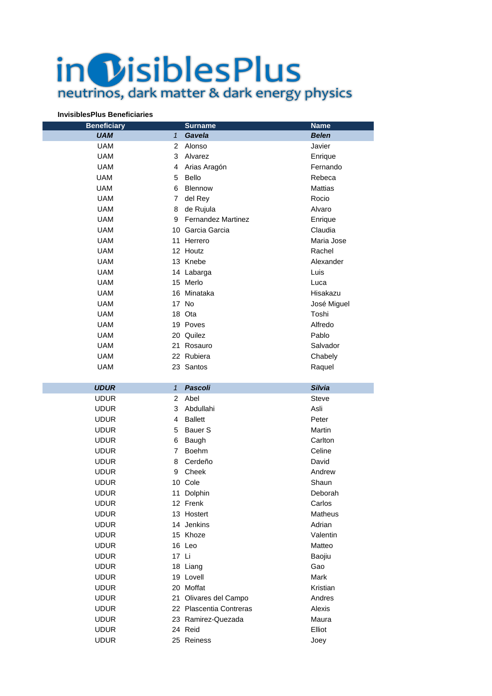## in *DisiblesPlus* neutrinos, dark matter & dark energy physics

## **InvisiblesPlus Beneficiaries**

| <b>Beneficiary</b> |                | <b>Surname</b>            | <b>Name</b>    |
|--------------------|----------------|---------------------------|----------------|
| <b>UAM</b>         | $\mathbf{1}$   | Gavela                    | <b>Belen</b>   |
| <b>UAM</b>         | 2              | Alonso                    | Javier         |
| <b>UAM</b>         | 3              | Alvarez                   | Enrique        |
| <b>UAM</b>         | 4              | Arias Aragón              | Fernando       |
| <b>UAM</b>         | 5              | <b>Bello</b>              | Rebeca         |
| <b>UAM</b>         | 6              | Blennow                   | <b>Mattias</b> |
| <b>UAM</b>         | $\overline{7}$ | del Rey                   | Rocio          |
| <b>UAM</b>         | 8              | de Rujula                 | Alvaro         |
| <b>UAM</b>         | 9              | <b>Fernandez Martinez</b> | Enrique        |
| <b>UAM</b>         |                | 10 Garcia Garcia          | Claudia        |
| <b>UAM</b>         |                | 11 Herrero                | Maria Jose     |
| <b>UAM</b>         |                | 12 Houtz                  | Rachel         |
| <b>UAM</b>         |                | 13 Knebe                  | Alexander      |
| <b>UAM</b>         |                | 14 Labarga                | Luis           |
| <b>UAM</b>         |                | 15 Merlo                  | Luca           |
| <b>UAM</b>         |                | 16 Minataka               | Hisakazu       |
| <b>UAM</b>         |                | 17 No                     | José Miguel    |
| <b>UAM</b>         |                | 18 Ota                    | Toshi          |
| <b>UAM</b>         |                | 19 Poves                  | Alfredo        |
| <b>UAM</b>         |                | 20 Quilez                 | Pablo          |
| <b>UAM</b>         |                | 21 Rosauro                | Salvador       |
| <b>UAM</b>         |                | 22 Rubiera                | Chabely        |
| <b>UAM</b>         |                | 23 Santos                 | Raquel         |
|                    |                |                           |                |
| <b>UDUR</b>        | $\mathbf{1}$   | <b>Pascoli</b>            | <b>Silvia</b>  |
| <b>UDUR</b>        | 2              | Abel                      | Steve          |
| <b>UDUR</b>        | 3              | Abdullahi                 | Asli           |
| <b>UDUR</b>        | 4              | <b>Ballett</b>            | Peter          |
| <b>UDUR</b>        | 5              | Bauer <sub>S</sub>        | Martin         |
| <b>UDUR</b>        | 6              | Baugh                     | Carlton        |
| <b>UDUR</b>        | $\overline{7}$ | Boehm                     | Celine         |
| <b>UDUR</b>        | 8              | Cerdeño                   | David          |
| <b>UDUR</b>        | 9              | Cheek                     | Andrew         |
| <b>UDUR</b>        |                | 10 Cole                   | Shaun          |
| <b>UDUR</b>        |                | 11 Dolphin                | Deborah        |
| <b>UDUR</b>        |                | 12 Frenk                  | Carlos         |
| <b>UDUR</b>        |                | 13 Hostert                | <b>Matheus</b> |
| <b>UDUR</b>        |                | 14 Jenkins                | Adrian         |

| <b>UDUR</b> |       | 14 Jenkins              | Adrian   |
|-------------|-------|-------------------------|----------|
| <b>UDUR</b> |       | 15 Khoze                | Valentin |
| <b>UDUR</b> |       | 16 Leo                  | Matteo   |
| <b>UDUR</b> | 17 Li |                         | Baojiu   |
| <b>UDUR</b> |       | 18 Liang                | Gao      |
| <b>UDUR</b> |       | 19 Lovell               | Mark     |
| <b>UDUR</b> |       | 20 Moffat               | Kristian |
| <b>UDUR</b> |       | 21 Olivares del Campo   | Andres   |
| <b>UDUR</b> |       | 22 Plascentia Contreras | Alexis   |
| <b>UDUR</b> |       | 23 Ramirez-Quezada      | Maura    |
| <b>UDUR</b> |       | 24 Reid                 | Elliot   |
| <b>UDUR</b> |       | 25 Reiness              | Joev     |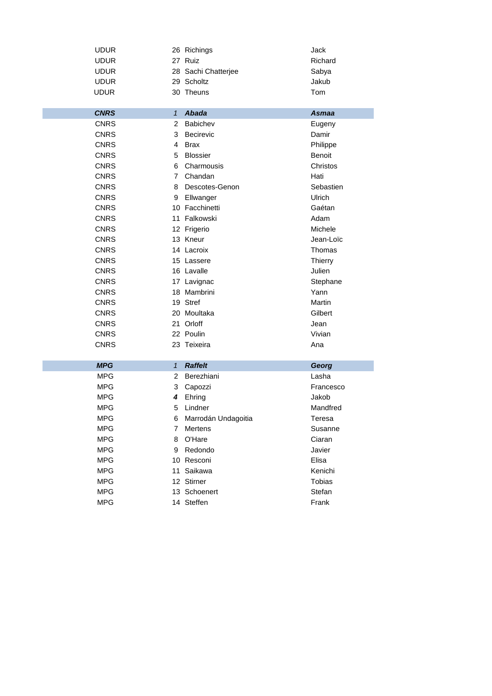| <b>UDUR</b>              |               | 26 Richings         | Jack              |
|--------------------------|---------------|---------------------|-------------------|
| <b>UDUR</b>              |               | 27 Ruiz             | Richard           |
| <b>UDUR</b>              |               | 28 Sachi Chatterjee | Sabya             |
| <b>UDUR</b>              |               | 29 Scholtz          | Jakub             |
| <b>UDUR</b>              |               | 30 Theuns           | Tom               |
|                          |               |                     |                   |
| <b>CNRS</b>              | $\mathbf{1}$  | <b>Abada</b>        | <b>Asmaa</b>      |
| <b>CNRS</b>              | 2             | Babichev            | Eugeny            |
| <b>CNRS</b>              | 3             | <b>Becirevic</b>    | Damir             |
| <b>CNRS</b>              | 4             | <b>Brax</b>         | Philippe          |
| <b>CNRS</b>              | 5             | <b>Blossier</b>     | <b>Benoit</b>     |
| <b>CNRS</b>              | 6             | Charmousis          | Christos          |
| <b>CNRS</b>              | 7             | Chandan             | Hati              |
| <b>CNRS</b>              | 8             | Descotes-Genon      | Sebastien         |
| <b>CNRS</b>              | 9             | Ellwanger           | Ulrich            |
| <b>CNRS</b>              |               | 10 Facchinetti      | Gaétan            |
| <b>CNRS</b>              |               | 11 Falkowski        | Adam              |
| <b>CNRS</b>              |               | 12 Frigerio         | Michele           |
| <b>CNRS</b>              |               | 13 Kneur            | Jean-Loïc         |
| <b>CNRS</b>              |               | 14 Lacroix          | Thomas            |
| <b>CNRS</b>              |               | 15 Lassere          | <b>Thierry</b>    |
| <b>CNRS</b>              |               | 16 Lavalle          | Julien            |
| <b>CNRS</b>              |               | 17 Lavignac         | Stephane          |
| <b>CNRS</b>              |               | 18 Mambrini         | Yann              |
| <b>CNRS</b>              |               | 19 Stref            | Martin            |
| <b>CNRS</b>              |               | 20 Moultaka         | Gilbert           |
| <b>CNRS</b>              |               | 21 Orloff           | Jean              |
| <b>CNRS</b>              |               | 22 Poulin           | Vivian            |
| <b>CNRS</b>              |               | 23 Teixeira         | Ana               |
|                          |               |                     |                   |
| <b>MPG</b>               | $\mathcal{I}$ | <b>Raffelt</b>      | Georg             |
| <b>MPG</b><br><b>MPG</b> | 2             | Berezhiani          | Lasha             |
|                          | 3             | Capozzi             | Francesco         |
| <b>MPG</b>               | 4             | Ehring              | Jakob<br>Mandfred |
| MPG                      | 5             | Lindner             |                   |
| <b>MPG</b>               | 6             | Marrodán Undagoitia | Teresa            |
| <b>MPG</b>               | 7             | Mertens             | Susanne           |
| <b>MPG</b>               | 8             | O'Hare<br>Redondo   | Ciaran            |
| <b>MPG</b>               | 9             |                     | Javier            |
| <b>MPG</b>               |               | 10 Resconi          | Elisa             |
| <b>MPG</b>               |               | 11 Saikawa          | Kenichi           |
| <b>MPG</b>               |               | 12 Stirner          | Tobias            |
| <b>MPG</b>               |               | 13 Schoenert        | Stefan            |
| <b>MPG</b>               |               | 14 Steffen          | Frank             |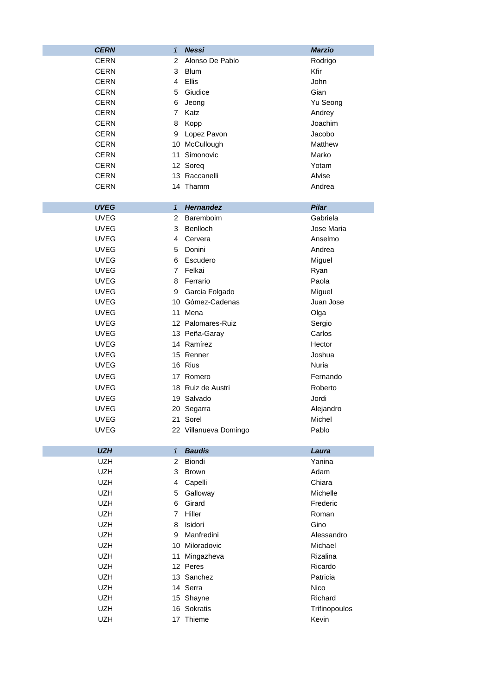| <b>CERN</b> | $\mathbf{1}$   | <b>Nessi</b>          | <b>Marzio</b> |
|-------------|----------------|-----------------------|---------------|
| <b>CERN</b> | 2              | Alonso De Pablo       | Rodrigo       |
| <b>CERN</b> | 3              | <b>Blum</b>           | Kfir          |
| <b>CERN</b> | 4              | <b>Ellis</b>          | John          |
| <b>CERN</b> | 5              | Giudice               | Gian          |
| <b>CERN</b> | 6              | Jeong                 | Yu Seong      |
| CERN        | 7              | Katz                  | Andrey        |
| CERN        | 8              | Kopp                  | Joachim       |
| <b>CERN</b> | 9              | Lopez Pavon           | Jacobo        |
| <b>CERN</b> |                | 10 McCullough         | Matthew       |
| <b>CERN</b> | 11             | Simonovic             | Marko         |
| <b>CERN</b> |                | 12 Soreq              | Yotam         |
| <b>CERN</b> |                | 13 Raccanelli         | Alvise        |
| <b>CERN</b> |                | 14 Thamm              | Andrea        |
| <b>UVEG</b> | $\mathbf{1}$   | <b>Hernandez</b>      | <b>Pilar</b>  |
| <b>UVEG</b> | 2              | Baremboim             | Gabriela      |
| <b>UVEG</b> | 3              | Benlloch              | Jose Maria    |
| <b>UVEG</b> | 4              | Cervera               | Anselmo       |
| <b>UVEG</b> | 5              | Donini                | Andrea        |
| <b>UVEG</b> | 6              | Escudero              | Miguel        |
| <b>UVEG</b> | $\overline{7}$ | Felkai                | Ryan          |
| <b>UVEG</b> | 8              | Ferrario              | Paola         |
| <b>UVEG</b> | 9              | Garcia Folgado        | Miguel        |
| <b>UVEG</b> |                | 10 Gómez-Cadenas      | Juan Jose     |
| <b>UVEG</b> | 11             | Mena                  | Olga          |
| <b>UVEG</b> |                | 12 Palomares-Ruiz     | Sergio        |
| <b>UVEG</b> |                | 13 Peña-Garay         | Carlos        |
| <b>UVEG</b> |                | 14 Ramírez            | Hector        |
| <b>UVEG</b> |                | 15 Renner             | Joshua        |
| <b>UVEG</b> |                | 16 Rius               | Nuria         |
| <b>UVEG</b> |                | 17 Romero             | Fernando      |
| <b>UVEG</b> |                | 18 Ruiz de Austri     | Roberto       |
| <b>UVEG</b> |                | 19 Salvado            | Jordi         |
| <b>UVEG</b> |                | 20 Segarra            | Alejandro     |
| <b>UVEG</b> |                | 21 Sorel              | Michel        |
| <b>UVEG</b> |                | 22 Villanueva Domingo | Pablo         |
| <b>UZH</b>  | $\mathbf{1}$   | <b>Baudis</b>         | Laura         |
| <b>UZH</b>  | $\overline{2}$ | Biondi                | Yanina        |
| <b>UZH</b>  | 3              | <b>Brown</b>          | Adam          |
| <b>UZH</b>  | 4              | Capelli               | Chiara        |
| <b>UZH</b>  | 5              | Galloway              | Michelle      |
| <b>UZH</b>  | 6              | Girard                | Frederic      |
| <b>UZH</b>  | $\overline{7}$ | Hiller                | Roman         |
| <b>UZH</b>  | 8              | Isidori               | Gino          |
| UZH         | 9              | Manfredini            | Alessandro    |
| UZH         |                | 10 Miloradovic        | Michael       |
| <b>UZH</b>  | 11             | Mingazheva            | Rizalina      |
| <b>UZH</b>  |                | 12 Peres              | Ricardo       |
| <b>UZH</b>  |                | 13 Sanchez            | Patricia      |
| <b>UZH</b>  |                | 14 Serra              | Nico          |
| <b>UZH</b>  |                | 15 Shayne             | Richard       |
| <b>UZH</b>  |                | 16 Sokratis           | Trifinopoulos |
| UZH         |                | 17 Thieme             | Kevin         |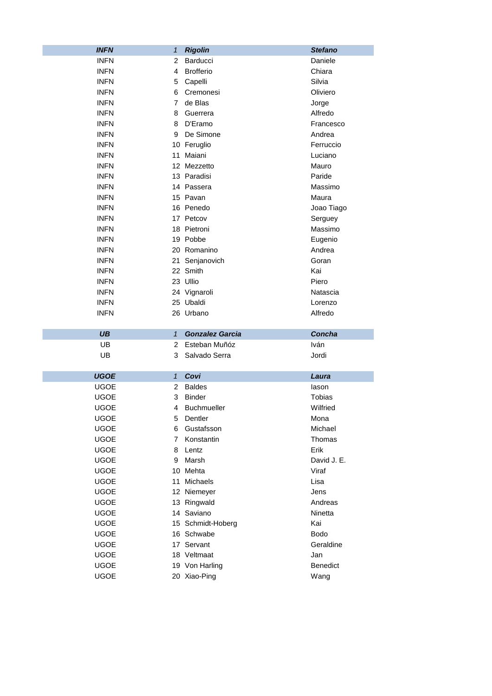| <b>INFN</b> | 1              | <b>Rigolin</b>         | <b>Stefano</b> |
|-------------|----------------|------------------------|----------------|
| <b>INFN</b> | 2              | Barducci               | Daniele        |
| <b>INFN</b> | 4              | <b>Brofferio</b>       | Chiara         |
| <b>INFN</b> | 5              | Capelli                | Silvia         |
| <b>INFN</b> | 6              | Cremonesi              | Oliviero       |
| <b>INFN</b> | $\overline{7}$ | de Blas                | Jorge          |
| <b>INFN</b> | 8              | Guerrera               | Alfredo        |
| <b>INFN</b> | 8              | D'Eramo                | Francesco      |
| <b>INFN</b> | 9              | De Simone              | Andrea         |
| <b>INFN</b> |                | 10 Feruglio            | Ferruccio      |
| <b>INFN</b> | 11             | Maiani                 | Luciano        |
| <b>INFN</b> |                | 12 Mezzetto            | Mauro          |
| <b>INFN</b> |                | 13 Paradisi            | Paride         |
| <b>INFN</b> |                | 14 Passera             | Massimo        |
| <b>INFN</b> |                | 15 Pavan               | Maura          |
| <b>INFN</b> |                | 16 Penedo              | Joao Tiago     |
| <b>INFN</b> |                | 17 Petcov              | Serguey        |
| <b>INFN</b> |                | 18 Pietroni            | Massimo        |
| <b>INFN</b> |                | 19 Pobbe               | Eugenio        |
| <b>INFN</b> |                | 20 Romanino            | Andrea         |
| <b>INFN</b> |                | 21 Senjanovich         | Goran          |
| <b>INFN</b> |                | 22 Smith               | Kai            |
| <b>INFN</b> |                | 23 Ullio               | Piero          |
| <b>INFN</b> |                | 24 Vignaroli           | Natascia       |
| <b>INFN</b> |                | 25 Ubaldi              | Lorenzo        |
| <b>INFN</b> |                | 26 Urbano              | Alfredo        |
|             |                |                        |                |
| <b>UB</b>   | $\mathbf{1}$   | <b>Gonzalez Garcia</b> | Concha         |
| UB          | 2              | Esteban Muñóz          | Iván           |
| UB          | 3              | Salvado Serra          | Jordi          |
|             |                |                        |                |
| <b>UGOE</b> | $\mathbf{1}$   | Covi                   | Laura          |
| <b>UGOE</b> | 2              | <b>Baldes</b>          | lason          |
| <b>UGOE</b> | 3              | <b>Binder</b>          | Tobias         |
| <b>UGOE</b> | 4              | <b>Buchmueller</b>     | Wilfried       |
| <b>UGOE</b> | 5              | Dentler                | Mona           |
| <b>UGOE</b> | 6              | Gustafsson             | Michael        |
| <b>UGOE</b> | 7              | Konstantin             | Thomas         |
| <b>UGOE</b> | 8              | Lentz                  | Erik           |
| <b>UGOE</b> | 9              | Marsh                  | David J. E.    |
| <b>UGOE</b> | 10             | Mehta                  | Viraf          |
| <b>UGOE</b> | 11             | Michaels               | Lisa           |
| <b>UGOE</b> |                | 12 Niemeyer            | Jens           |
| <b>UGOE</b> |                | 13 Ringwald            | Andreas        |
| <b>UGOE</b> |                | 14 Saviano             | Ninetta        |
| <b>UGOE</b> |                | 15 Schmidt-Hoberg      | Kai            |
| <b>UGOE</b> |                | 16 Schwabe             | <b>Bodo</b>    |
| <b>UGOE</b> |                | 17 Servant             | Geraldine      |
| <b>UGOE</b> |                | 18 Veltmaat            | Jan            |
| <b>UGOE</b> |                | 19 Von Harling         | Benedict       |
| <b>UGOE</b> |                | 20 Xiao-Ping           | Wang           |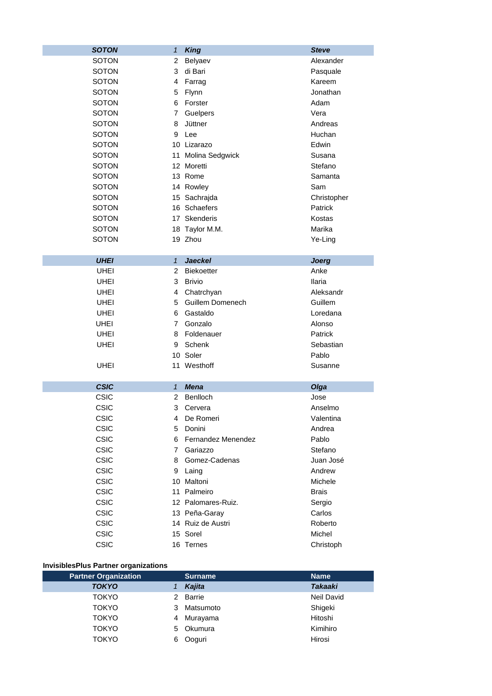| <b>SOTON</b> | $\mathbf{1}$   | <b>King</b>             | <b>Steve</b>   |
|--------------|----------------|-------------------------|----------------|
| <b>SOTON</b> | 2              | Belyaev                 | Alexander      |
| <b>SOTON</b> | 3              | di Bari                 | Pasquale       |
| <b>SOTON</b> | 4              | Farrag                  | Kareem         |
| <b>SOTON</b> | 5              | Flynn                   | Jonathan       |
| <b>SOTON</b> | 6              | Forster                 | Adam           |
| <b>SOTON</b> | $\overline{7}$ | Guelpers                | Vera           |
| <b>SOTON</b> | 8              | Jüttner                 | Andreas        |
| <b>SOTON</b> | 9              | Lee                     | Huchan         |
| <b>SOTON</b> |                | 10 Lizarazo             | Edwin          |
| <b>SOTON</b> | 11             | Molina Sedgwick         | Susana         |
| <b>SOTON</b> |                | 12 Moretti              | Stefano        |
| <b>SOTON</b> |                | 13 Rome                 | Samanta        |
| <b>SOTON</b> |                | 14 Rowley               | Sam            |
| <b>SOTON</b> |                | 15 Sachrajda            | Christopher    |
| <b>SOTON</b> |                | 16 Schaefers            | <b>Patrick</b> |
| <b>SOTON</b> |                | 17 Skenderis            | Kostas         |
| <b>SOTON</b> |                | 18 Taylor M.M.          | Marika         |
| <b>SOTON</b> |                | 19 Zhou                 | Ye-Ling        |
|              |                |                         |                |
| <b>UHEI</b>  | $\mathbf{1}$   | <b>Jaeckel</b>          | <b>Joerg</b>   |
| <b>UHEI</b>  | $\overline{2}$ | <b>Biekoetter</b>       | Anke           |
| <b>UHEI</b>  | 3              | <b>Brivio</b>           | <b>Ilaria</b>  |
| <b>UHEI</b>  | 4              | Chatrchyan              | Aleksandr      |
| <b>UHEI</b>  | 5              | Guillem Domenech        | Guillem        |
| <b>UHEI</b>  | 6              | Gastaldo                | Loredana       |
| <b>UHEI</b>  | 7              | Gonzalo                 | Alonso         |
|              |                | Foldenauer              | Patrick        |
| <b>UHEI</b>  | 8              |                         |                |
| UHEI         | 9              | Schenk                  | Sebastian      |
|              |                | 10 Soler                | Pablo          |
| <b>UHEI</b>  |                | 11 Westhoff             | Susanne        |
|              |                |                         |                |
| <b>CSIC</b>  | $\mathbf{1}$   | <b>Mena</b><br>Benlloch | Olga           |
| <b>CSIC</b>  | 2              |                         | Jose           |
| <b>CSIC</b>  | 3              | Cervera                 | Anselmo        |
| CSIC         | 4              | De Romeri               | Valentina      |
| <b>CSIC</b>  | 5              | Donini                  | Andrea         |
| CSIC         | 6              | Fernandez Menendez      | Pablo          |
| <b>CSIC</b>  | $\overline{7}$ | Gariazzo                | Stefano        |
| CSIC         | 8              | Gomez-Cadenas           | Juan José      |
| <b>CSIC</b>  | 9              | Laing                   | Andrew         |
| <b>CSIC</b>  |                | 10 Maltoni              | Michele        |
| <b>CSIC</b>  |                | 11 Palmeiro             | <b>Brais</b>   |
| <b>CSIC</b>  |                | 12 Palomares-Ruiz.      | Sergio         |
| <b>CSIC</b>  |                | 13 Peña-Garay           | Carlos         |
| <b>CSIC</b>  |                | 14 Ruiz de Austri       | Roberto        |
| <b>CSIC</b>  |                | 15 Sorel                | Michel         |
| <b>CSIC</b>  |                | 16 Ternes               | Christoph      |

## **InvisiblesPlus Partner organizations**

| <b>Partner Organization</b> |   | <b>Surname</b> | <b>Name</b>    |
|-----------------------------|---|----------------|----------------|
| <b>TOKYO</b>                |   | Kajita         | <b>Takaaki</b> |
| <b>TOKYO</b>                | 2 | <b>Barrie</b>  | Neil David     |
| <b>TOKYO</b>                | 3 | Matsumoto      | Shigeki        |
| <b>TOKYO</b>                | 4 | Murayama       | Hitoshi        |
| <b>TOKYO</b>                | 5 | Okumura        | Kimihiro       |
| <b>TOKYO</b>                | 6 | Ooguri         | Hirosi         |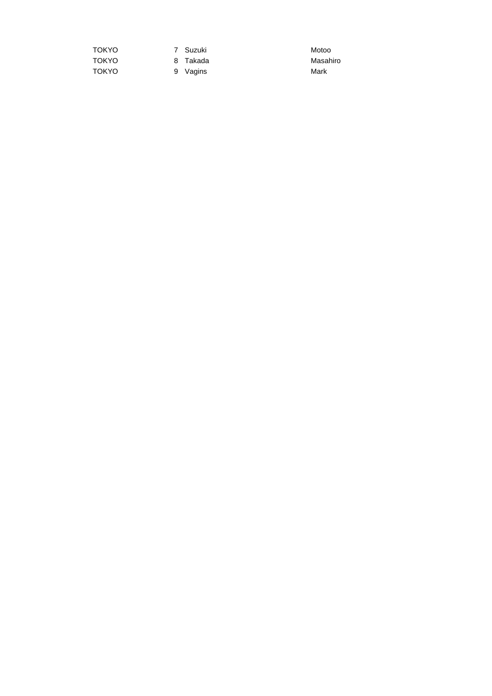| TOKYO |  |
|-------|--|
| TOKYO |  |
| TOKYO |  |

7 Suzuki Motoo

9 Vagins Mark

8 Takada Masahiro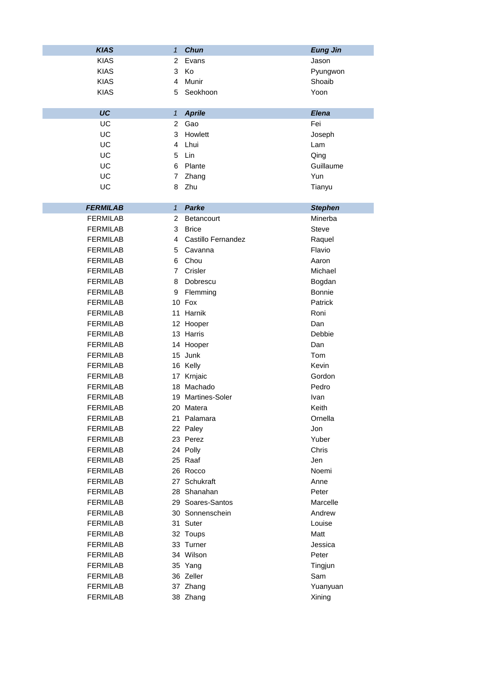| <b>KIAS</b>     | $\mathbf{1}$   | <b>Chun</b>        | <b>Eung Jin</b> |
|-----------------|----------------|--------------------|-----------------|
| <b>KIAS</b>     | 2              | Evans              | Jason           |
| <b>KIAS</b>     | 3              | Κo                 | Pyungwon        |
| <b>KIAS</b>     | 4              | Munir              | Shoaib          |
| <b>KIAS</b>     | 5              | Seokhoon           | Yoon            |
|                 |                |                    |                 |
| UC              | $\mathbf{1}$   | <b>Aprile</b>      | Elena           |
| UC              | $\overline{2}$ | Gao                | Fei             |
| UC              | 3              | Howlett            | Joseph          |
| UC              | 4              | Lhui               | Lam             |
| UC              | 5              | Lin                | Qing            |
| UC              | 6              | Plante             | Guillaume       |
| UC              | 7              | Zhang              | Yun             |
| UC              | 8              | Zhu                | Tianyu          |
|                 |                |                    |                 |
| <b>FERMILAB</b> | $\mathbf{1}$   | Parke              | <b>Stephen</b>  |
| <b>FERMILAB</b> | $\overline{2}$ | Betancourt         | Minerba         |
| <b>FERMILAB</b> | 3              | <b>Brice</b>       | <b>Steve</b>    |
| <b>FERMILAB</b> | 4              | Castillo Fernandez | Raquel          |
| <b>FERMILAB</b> | 5              | Cavanna            | Flavio          |
| <b>FERMILAB</b> | 6              | Chou               | Aaron           |
| <b>FERMILAB</b> | $\overline{7}$ | Crisler            | Michael         |
| <b>FERMILAB</b> | 8              | Dobrescu           | Bogdan          |
| <b>FERMILAB</b> | 9              | Flemming           | <b>Bonnie</b>   |
| <b>FERMILAB</b> |                | 10 Fox             | Patrick         |
| <b>FERMILAB</b> |                | 11 Harnik          | Roni            |
| <b>FERMILAB</b> |                | 12 Hooper          | Dan             |
| <b>FERMILAB</b> |                | 13 Harris          | Debbie          |
| <b>FERMILAB</b> |                | 14 Hooper          | Dan             |
| <b>FERMILAB</b> |                | 15 Junk            | Tom             |
| <b>FERMILAB</b> |                | 16 Kelly           | Kevin           |
| <b>FERMILAB</b> |                | 17 Krnjaic         | Gordon          |
| <b>FERMILAB</b> |                | 18 Machado         | Pedro           |
| <b>FERMILAB</b> |                | 19 Martines-Soler  | Ivan            |
| <b>FERMILAB</b> |                | 20 Matera          | Keith           |
| <b>FERMILAB</b> |                | 21 Palamara        | Ornella         |
| <b>FERMILAB</b> |                | 22 Paley           | Jon             |
| <b>FERMILAB</b> |                | 23 Perez           | Yuber           |
| <b>FERMILAB</b> |                | 24 Polly           | Chris           |
| <b>FERMILAB</b> |                | 25 Raaf            | Jen             |
| <b>FERMILAB</b> |                | 26 Rocco           | Noemi           |
| <b>FERMILAB</b> |                | 27 Schukraft       | Anne            |
| <b>FERMILAB</b> |                | 28 Shanahan        | Peter           |
| <b>FERMILAB</b> |                | 29 Soares-Santos   | Marcelle        |
| <b>FERMILAB</b> |                | 30 Sonnenschein    | Andrew          |
| FERMILAB        |                | 31 Suter           | Louise          |
| <b>FERMILAB</b> |                | 32 Toups           | Matt            |
| <b>FERMILAB</b> |                | 33 Turner          | Jessica         |
| <b>FERMILAB</b> |                | 34 Wilson          | Peter           |
| <b>FERMILAB</b> |                | 35 Yang            | Tingjun         |
| <b>FERMILAB</b> |                | 36 Zeller          | Sam             |
| <b>FERMILAB</b> |                | 37 Zhang           | Yuanyuan        |
| <b>FERMILAB</b> |                | 38 Zhang           | Xining          |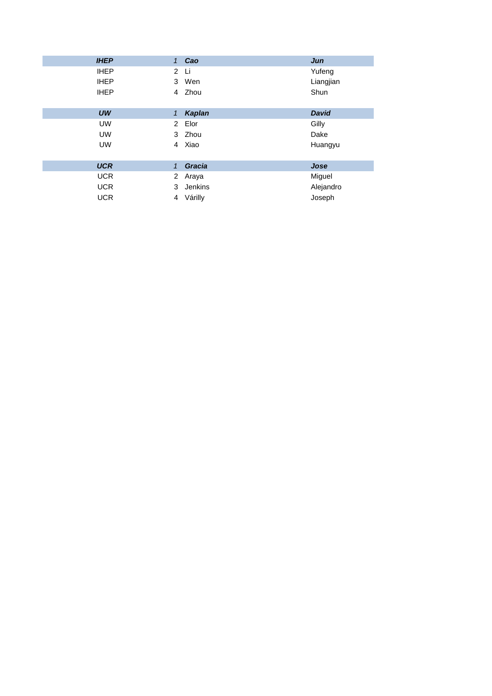| <b>IHEP</b> | 1                    | Cao     | Jun          |
|-------------|----------------------|---------|--------------|
| <b>IHEP</b> | $\overline{2}$       | Li      | Yufeng       |
| <b>IHEP</b> | 3                    | Wen     | Liangjian    |
| <b>IHEP</b> | $\overline{4}$       | Zhou    | Shun         |
|             |                      |         |              |
| UW          | 1                    | Kaplan  | <b>David</b> |
| <b>UW</b>   |                      | 2 Elor  | Gilly        |
| <b>UW</b>   |                      | 3 Zhou  | Dake         |
| <b>UW</b>   | 4                    | Xiao    | Huangyu      |
|             |                      |         |              |
| <b>UCR</b>  | 1                    | Gracia  | Jose         |
| <b>UCR</b>  | $\mathbf{2}^{\circ}$ | Araya   | Miguel       |
| <b>UCR</b>  | 3                    | Jenkins | Alejandro    |
| <b>UCR</b>  | 4                    | Várilly | Joseph       |
|             |                      |         |              |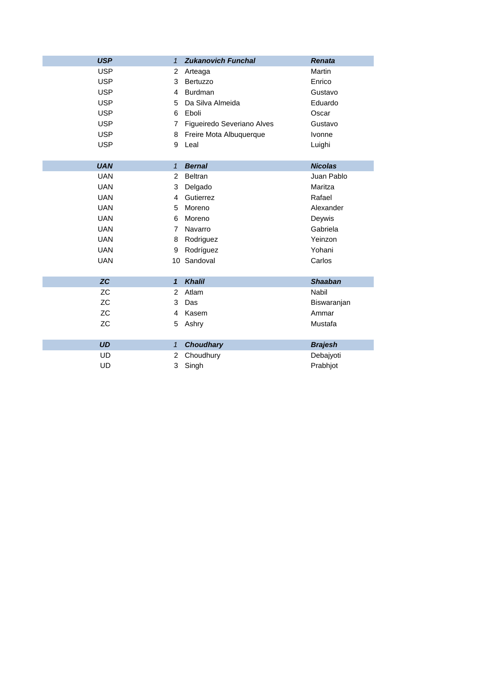| <b>USP</b> | $\mathbf{1}$   | <b>Zukanovich Funchal</b>  | <b>Renata</b>  |
|------------|----------------|----------------------------|----------------|
| <b>USP</b> | $\overline{2}$ | Arteaga                    | Martin         |
| <b>USP</b> | 3              | Bertuzzo                   | Enrico         |
| <b>USP</b> | 4              | <b>Burdman</b>             | Gustavo        |
| <b>USP</b> | 5              | Da Silva Almeida           | Eduardo        |
| <b>USP</b> | 6              | Eboli                      | Oscar          |
| <b>USP</b> | 7              | Figueiredo Severiano Alves | Gustavo        |
| <b>USP</b> | 8              | Freire Mota Albuquerque    | Ivonne         |
| <b>USP</b> | 9              | Leal                       | Luighi         |
|            |                |                            |                |
| <b>UAN</b> | $\mathbf{1}$   | <b>Bernal</b>              | <b>Nicolas</b> |
| <b>UAN</b> | 2              | <b>Beltran</b>             | Juan Pablo     |
| <b>UAN</b> | 3              | Delgado                    | Maritza        |
| <b>UAN</b> | 4              | Gutierrez                  | Rafael         |
| <b>UAN</b> | 5              | Moreno                     | Alexander      |
| <b>UAN</b> | 6              | Moreno                     | Deywis         |
| <b>UAN</b> | 7              | Navarro                    | Gabriela       |
| <b>UAN</b> | 8              | Rodriguez                  | Yeinzon        |
| <b>UAN</b> | 9              | Rodríguez                  | Yohani         |
| <b>UAN</b> |                | 10 Sandoval                | Carlos         |
|            |                |                            |                |
| ZC         | $\mathbf{1}$   | <b>Khalil</b>              | <b>Shaaban</b> |
| <b>ZC</b>  | 2              | Atlam                      | <b>Nabil</b>   |
| ZC         | 3              | Das                        | Biswaranjan    |
| <b>ZC</b>  | 4              | Kasem                      | Ammar          |
| <b>ZC</b>  | 5              | Ashry                      | Mustafa        |
|            |                |                            |                |
| <b>UD</b>  | $\mathbf{1}$   | <b>Choudhary</b>           | <b>Brajesh</b> |
| UD         | 2              | Choudhury                  | Debajyoti      |
| UD         | 3              | Singh                      | Prabhjot       |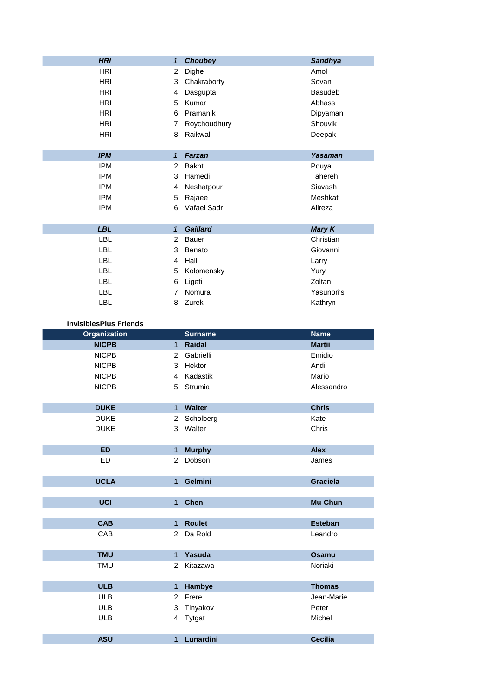| <b>HRI</b> | 1            | <b>Choubey</b>  | <b>Sandhya</b> |
|------------|--------------|-----------------|----------------|
| <b>HRI</b> | 2            | Dighe           | Amol           |
| <b>HRI</b> | 3            | Chakraborty     | Sovan          |
| <b>HRI</b> | 4            | Dasgupta        | <b>Basudeb</b> |
| <b>HRI</b> | 5            | Kumar           | Abhass         |
| <b>HRI</b> | 6            | Pramanik        | Dipyaman       |
| <b>HRI</b> | 7            | Roychoudhury    | Shouvik        |
| <b>HRI</b> | 8            | Raikwal         | Deepak         |
|            |              |                 |                |
| <b>IPM</b> | $\mathbf{1}$ | <b>Farzan</b>   | Yasaman        |
| <b>IPM</b> | 2            | Bakhti          | Pouya          |
| <b>IPM</b> | 3            | Hamedi          | Tahereh        |
| <b>IPM</b> | 4            | Neshatpour      | Siavash        |
| <b>IPM</b> | 5            | Rajaee          | Meshkat        |
| <b>IPM</b> | 6            | Vafaei Sadr     | Alireza        |
|            |              |                 |                |
| <b>LBL</b> | $\mathbf{1}$ | <b>Gaillard</b> | <b>Mary K</b>  |
| <b>LBL</b> | 2            | <b>Bauer</b>    | Christian      |
| <b>LBL</b> | 3            | Benato          | Giovanni       |
| <b>LBL</b> | 4            | Hall            | Larry          |
| LBL.       | 5            | Kolomensky      | Yury           |
| <b>LBL</b> | 6            | Ligeti          | Zoltan         |
| <b>LBL</b> | 7            | Nomura          | Yasunori's     |
| LBL        | 8            | Zurek           | Kathryn        |
|            |              |                 |                |

| <b>InvisiblesPlus Friends</b> |                |                |                 |
|-------------------------------|----------------|----------------|-----------------|
| <b>Organization</b>           |                | <b>Surname</b> | <b>Name</b>     |
| <b>NICPB</b>                  | 1              | Raidal         | <b>Martii</b>   |
| <b>NICPB</b>                  | 2              | Gabrielli      | Emidio          |
| <b>NICPB</b>                  | 3              | Hektor         | Andi            |
| <b>NICPB</b>                  | $\overline{4}$ | Kadastik       | Mario           |
| <b>NICPB</b>                  | 5              | Strumia        | Alessandro      |
|                               |                |                |                 |
| <b>DUKE</b>                   | 1 <sup>1</sup> | <b>Walter</b>  | <b>Chris</b>    |
| <b>DUKE</b>                   | $\overline{2}$ | Scholberg      | Kate            |
| <b>DUKE</b>                   | 3              | Walter         | Chris           |
|                               |                |                |                 |
| <b>ED</b>                     | $\mathbf{1}$   | <b>Murphy</b>  | <b>Alex</b>     |
| <b>ED</b>                     | $\overline{2}$ | Dobson         | James           |
|                               |                |                |                 |
| <b>UCLA</b>                   | 1              | Gelmini        | <b>Graciela</b> |
|                               |                |                |                 |
| <b>UCI</b>                    | 1              | <b>Chen</b>    | Mu-Chun         |
|                               |                |                |                 |
| <b>CAB</b>                    | $\mathbf{1}$   | <b>Roulet</b>  | <b>Esteban</b>  |
| CAB                           | $\overline{2}$ | Da Rold        | Leandro         |
|                               |                |                |                 |
| <b>TMU</b>                    | $\mathbf{1}$   | Yasuda         | <b>Osamu</b>    |
| <b>TMU</b>                    | 2              | Kitazawa       | Noriaki         |
|                               |                |                |                 |
| <b>ULB</b>                    | $\mathbf{1}$   | Hambye         | <b>Thomas</b>   |
| <b>ULB</b>                    | $\overline{2}$ | Frere          | Jean-Marie      |
| <b>ULB</b>                    | 3              | Tinyakov       | Peter           |
| <b>ULB</b>                    | 4              | Tytgat         | Michel          |
|                               |                |                |                 |
| <b>ASU</b>                    | 1              | Lunardini      | <b>Cecilia</b>  |